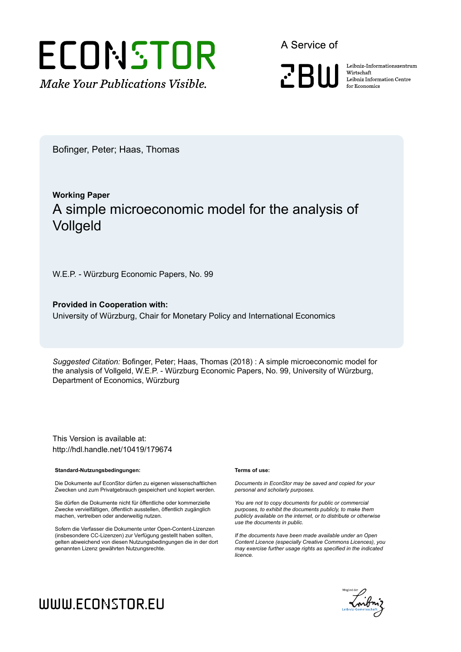

A Service of

**PRIII** 

Leibniz Informationszentrum Wirtschaft Leibniz Information Centre for Economics

Bofinger, Peter; Haas, Thomas

## **Working Paper** A simple microeconomic model for the analysis of Vollgeld

W.E.P. - Würzburg Economic Papers, No. 99

**Provided in Cooperation with:** University of Würzburg, Chair for Monetary Policy and International Economics

*Suggested Citation:* Bofinger, Peter; Haas, Thomas (2018) : A simple microeconomic model for the analysis of Vollgeld, W.E.P. - Würzburg Economic Papers, No. 99, University of Würzburg, Department of Economics, Würzburg

This Version is available at: http://hdl.handle.net/10419/179674

#### **Standard-Nutzungsbedingungen:**

Die Dokumente auf EconStor dürfen zu eigenen wissenschaftlichen Zwecken und zum Privatgebrauch gespeichert und kopiert werden.

Sie dürfen die Dokumente nicht für öffentliche oder kommerzielle Zwecke vervielfältigen, öffentlich ausstellen, öffentlich zugänglich machen, vertreiben oder anderweitig nutzen.

Sofern die Verfasser die Dokumente unter Open-Content-Lizenzen (insbesondere CC-Lizenzen) zur Verfügung gestellt haben sollten, gelten abweichend von diesen Nutzungsbedingungen die in der dort genannten Lizenz gewährten Nutzungsrechte.

#### **Terms of use:**

*Documents in EconStor may be saved and copied for your personal and scholarly purposes.*

*You are not to copy documents for public or commercial purposes, to exhibit the documents publicly, to make them publicly available on the internet, or to distribute or otherwise use the documents in public.*

*If the documents have been made available under an Open Content Licence (especially Creative Commons Licences), you may exercise further usage rights as specified in the indicated licence.*



## WWW.ECONSTOR.EU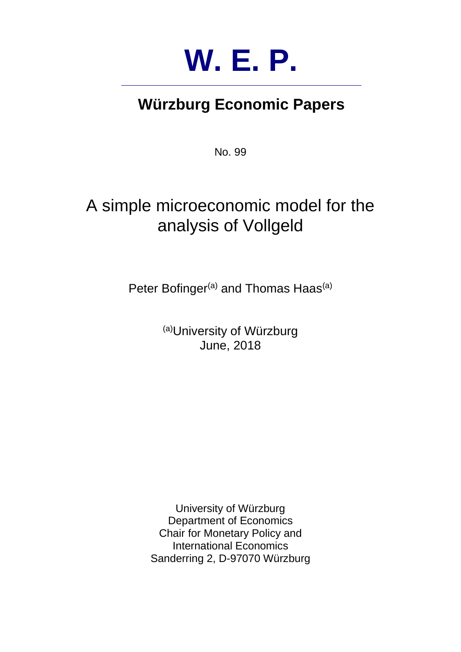

# **Würzburg Economic Papers**

No. 99

# A simple microeconomic model for the analysis of Vollgeld

Peter Bofinger<sup>(a)</sup> and Thomas Haas<sup>(a)</sup>

(a)University of Würzburg June, 2018

University of Würzburg Department of Economics Chair for Monetary Policy and International Economics Sanderring 2, D-97070 Würzburg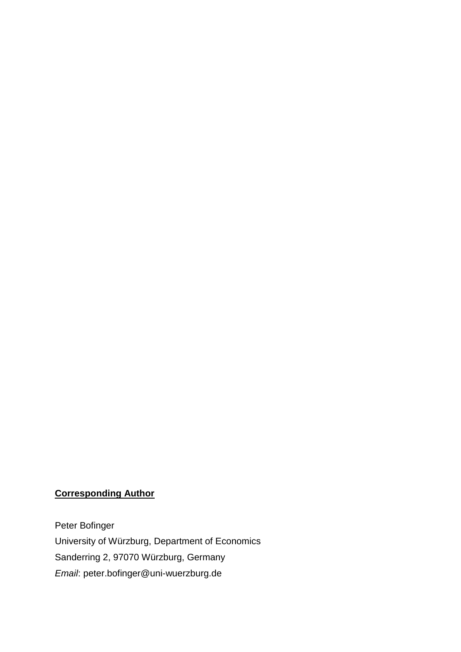### **Corresponding Author**

Peter Bofinger University of Würzburg, Department of Economics Sanderring 2, 97070 Würzburg, Germany *Email*: peter.bofinger@uni-wuerzburg.de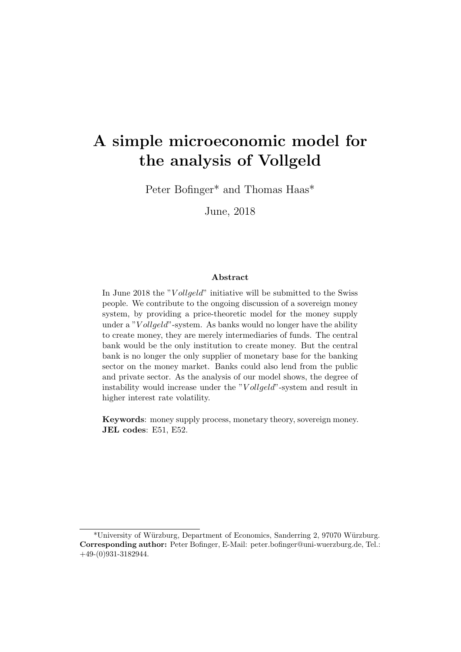## A simple microeconomic model for the analysis of Vollgeld

Peter Bofinger\* and Thomas Haas\*

June, 2018

#### Abstract

In June 2018 the "Vollgeld" initiative will be submitted to the Swiss people. We contribute to the ongoing discussion of a sovereign money system, by providing a price-theoretic model for the money supply under a " $V$ *ollgeld*"-system. As banks would no longer have the ability to create money, they are merely intermediaries of funds. The central bank would be the only institution to create money. But the central bank is no longer the only supplier of monetary base for the banking sector on the money market. Banks could also lend from the public and private sector. As the analysis of our model shows, the degree of instability would increase under the "Vollgeld"-system and result in higher interest rate volatility.

Keywords: money supply process, monetary theory, sovereign money. JEL codes: E51, E52.

<sup>\*</sup>University of W¨urzburg, Department of Economics, Sanderring 2, 97070 W¨urzburg. Corresponding author: Peter Bofinger, E-Mail: peter.bofinger@uni-wuerzburg.de, Tel.: +49-(0)931-3182944.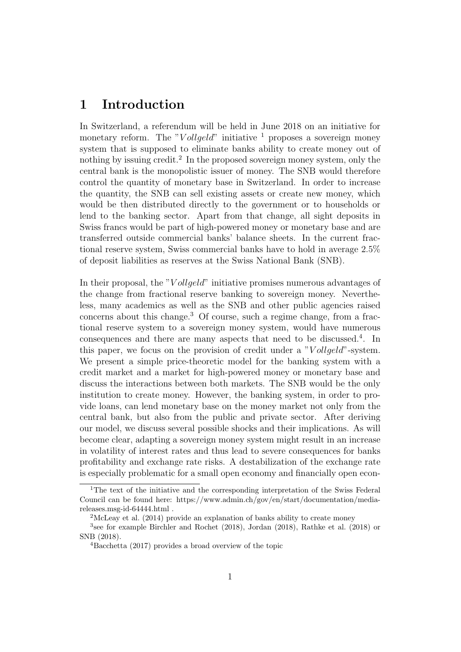## 1 Introduction

In Switzerland, a referendum will be held in June 2018 on an initiative for monetary reform. The "Vollgeld" initiative  $\frac{1}{1}$  proposes a sovereign money system that is supposed to eliminate banks ability to create money out of nothing by issuing credit.<sup>2</sup> In the proposed sovereign money system, only the central bank is the monopolistic issuer of money. The SNB would therefore control the quantity of monetary base in Switzerland. In order to increase the quantity, the SNB can sell existing assets or create new money, which would be then distributed directly to the government or to households or lend to the banking sector. Apart from that change, all sight deposits in Swiss francs would be part of high-powered money or monetary base and are transferred outside commercial banks' balance sheets. In the current fractional reserve system, Swiss commercial banks have to hold in average 2.5% of deposit liabilities as reserves at the Swiss National Bank (SNB).

In their proposal, the "Vollgeld" initiative promises numerous advantages of the change from fractional reserve banking to sovereign money. Nevertheless, many academics as well as the SNB and other public agencies raised concerns about this change.<sup>3</sup> Of course, such a regime change, from a fractional reserve system to a sovereign money system, would have numerous consequences and there are many aspects that need to be discussed.<sup>4</sup>. In this paper, we focus on the provision of credit under a "Vollgeld"-system. We present a simple price-theoretic model for the banking system with a credit market and a market for high-powered money or monetary base and discuss the interactions between both markets. The SNB would be the only institution to create money. However, the banking system, in order to provide loans, can lend monetary base on the money market not only from the central bank, but also from the public and private sector. After deriving our model, we discuss several possible shocks and their implications. As will become clear, adapting a sovereign money system might result in an increase in volatility of interest rates and thus lead to severe consequences for banks profitability and exchange rate risks. A destabilization of the exchange rate is especially problematic for a small open economy and financially open econ-

<sup>&</sup>lt;sup>1</sup>The text of the initiative and the corresponding interpretation of the Swiss Federal Council can be found here: https://www.admin.ch/gov/en/start/documentation/mediareleases.msg-id-64444.html .

<sup>2</sup>McLeay et al. (2014) provide an explanation of banks ability to create money

<sup>3</sup> see for example Birchler and Rochet (2018), Jordan (2018), Rathke et al. (2018) or SNB (2018).

<sup>4</sup>Bacchetta (2017) provides a broad overview of the topic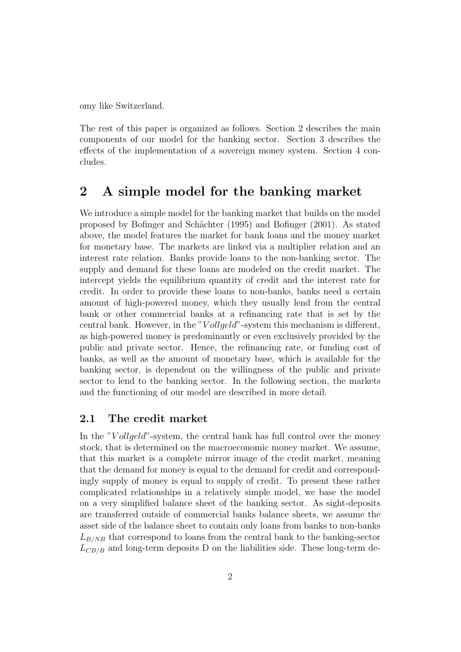omy like Switzerland.

The rest of this paper is organized as follows. Section 2 describes the main components of our model for the banking sector. Section 3 describes the effects of the implementation of a sovereign money system. Section 4 concludes.

### 2 A simple model for the banking market

We introduce a simple model for the banking market that builds on the model proposed by Bofinger and Sch¨achter (1995) and Bofinger (2001). As stated above, the model features the market for bank loans and the money market for monetary base. The markets are linked via a multiplier relation and an interest rate relation. Banks provide loans to the non-banking sector. The supply and demand for these loans are modeled on the credit market. The intercept yields the equilibrium quantity of credit and the interest rate for credit. In order to provide these loans to non-banks, banks need a certain amount of high-powered money, which they usually lend from the central bank or other commercial banks at a refinancing rate that is set by the central bank. However, in the "Vollgeld"-system this mechanism is different, as high-powered money is predominantly or even exclusively provided by the public and private sector. Hence, the refinancing rate, or funding cost of banks, as well as the amount of monetary base, which is available for the banking sector, is dependent on the willingness of the public and private sector to lend to the banking sector. In the following section, the markets and the functioning of our model are described in more detail.

#### 2.1 The credit market

In the "V ollgeld"-system, the central bank has full control over the money stock, that is determined on the macroeconomic money market. We assume, that this market is a complete mirror image of the credit market, meaning that the demand for money is equal to the demand for credit and correspondingly supply of money is equal to supply of credit. To present these rather complicated relationships in a relatively simple model, we base the model on a very simplified balance sheet of the banking sector. As sight-deposits are transferred outside of commercial banks balance sheets, we assume the asset side of the balance sheet to contain only loans from banks to non-banks  $L_{B/NB}$  that correspond to loans from the central bank to the banking-sector  $L_{CB/B}$  and long-term deposits D on the liabilities side. These long-term de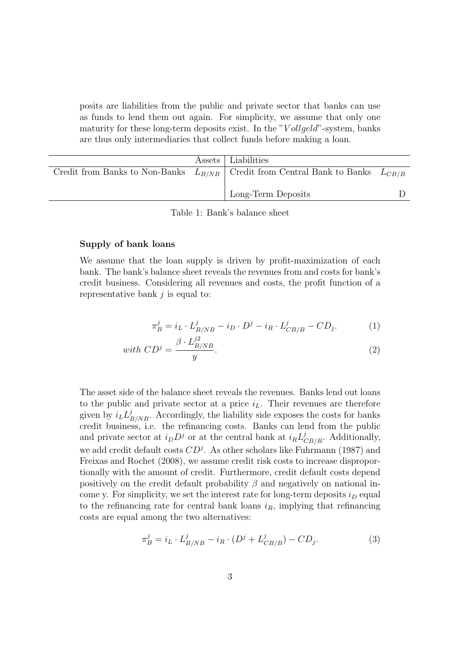posits are liabilities from the public and private sector that banks can use as funds to lend them out again. For simplicity, we assume that only one maturity for these long-term deposits exist. In the " $V$  ollgeld"-system, banks are thus only intermediaries that collect funds before making a loan.

|  | Assets   Liabilities                                                                   |  |
|--|----------------------------------------------------------------------------------------|--|
|  | Credit from Banks to Non-Banks $L_{B/NB}$ Credit from Central Bank to Banks $L_{CB/B}$ |  |
|  |                                                                                        |  |
|  | Long-Term Deposits                                                                     |  |

Table 1: Bank's balance sheet

#### Supply of bank loans

We assume that the loan supply is driven by profit-maximization of each bank. The bank's balance sheet reveals the revenues from and costs for bank's credit business. Considering all revenues and costs, the profit function of a representative bank  $j$  is equal to:

$$
\pi_B^j = i_L \cdot L_{B/NB}^j - i_D \cdot D^j - i_R \cdot L_{CB/B}^j - CD_j. \tag{1}
$$

with 
$$
CD^j = \frac{\beta \cdot L_{B/NB}^{j^2}}{y}
$$
. (2)

The asset side of the balance sheet reveals the revenues. Banks lend out loans to the public and private sector at a price  $i<sub>L</sub>$ . Their revenues are therefore given by  $i_L L_{B/NB}^j$ . Accordingly, the liability side exposes the costs for banks credit business, i.e. the refinancing costs. Banks can lend from the public and private sector at  $i_D D^j$  or at the central bank at  $i_R L^j_{CB/B}$ . Additionally, we add credit default costs  $CD<sup>j</sup>$ . As other scholars like Fuhrmann (1987) and Freixas and Rochet (2008), we assume credit risk costs to increase disproportionally with the amount of credit. Furthermore, credit default costs depend positively on the credit default probability  $\beta$  and negatively on national income y. For simplicity, we set the interest rate for long-term deposits  $i_D$  equal to the refinancing rate for central bank loans  $i_R$ , implying that refinancing costs are equal among the two alternatives:

$$
\pi_B^j = i_L \cdot L_{B/NB}^j - i_R \cdot (D^j + L_{CB/B}^j) - CD_j. \tag{3}
$$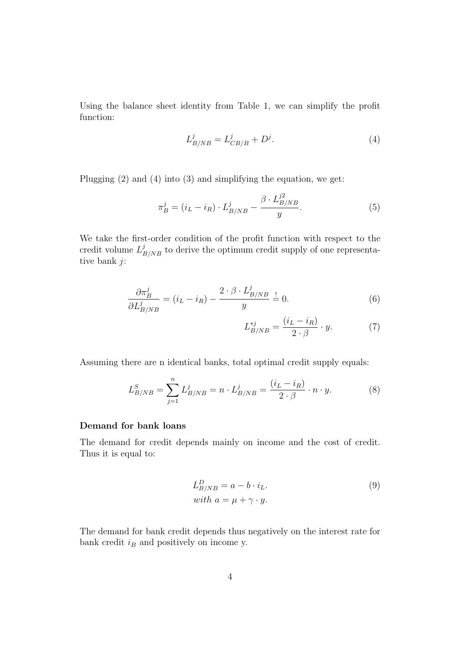Using the balance sheet identity from Table 1, we can simplify the profit function:

$$
L_{B/NB}^j = L_{CB/B}^j + D^j.
$$
 (4)

 $\overline{z}$ 

Plugging (2) and (4) into (3) and simplifying the equation, we get:

$$
\pi_B^j = (i_L - i_R) \cdot L_{B/NB}^j - \frac{\beta \cdot L_{B/NB}^{j2}}{y}.
$$
\n(5)

We take the first-order condition of the profit function with respect to the credit volume  $L_{B/NB}^{j}$  to derive the optimum credit supply of one representative bank j:

$$
\frac{\partial \pi_B^j}{\partial L_{B/NB}^j} = (i_L - i_R) - \frac{2 \cdot \beta \cdot L_{B/NB}^j}{y} \stackrel{!}{=} 0.
$$
 (6)

$$
L_{B/NB}^{*j} = \frac{(i_L - i_R)}{2 \cdot \beta} \cdot y. \tag{7}
$$

Assuming there are n identical banks, total optimal credit supply equals:

$$
L_{B/NB}^S = \sum_{j=1}^n L_{B/NB}^j = n \cdot L_{B/NB}^j = \frac{(i_L - i_R)}{2 \cdot \beta} \cdot n \cdot y. \tag{8}
$$

#### Demand for bank loans

The demand for credit depends mainly on income and the cost of credit. Thus it is equal to:

$$
L_{B/NB}^D = a - b \cdot i_L.
$$
  
\nwith  $a = \mu + \gamma \cdot y.$  (9)

The demand for bank credit depends thus negatively on the interest rate for bank credit  $i_B$  and positively on income y.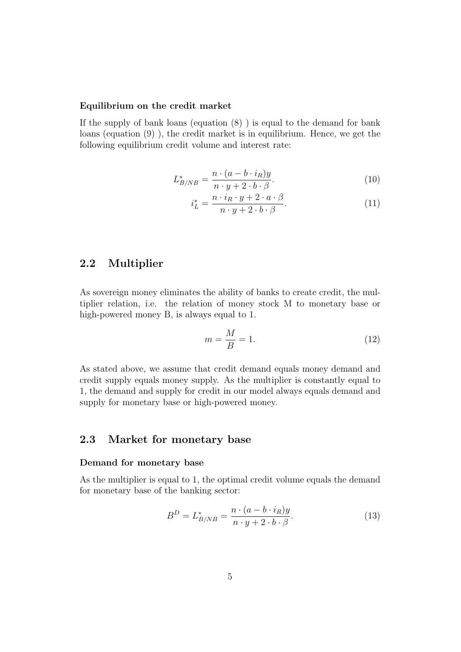#### Equilibrium on the credit market

If the supply of bank loans (equation  $(8)$ ) is equal to the demand for bank loans (equation (9) ), the credit market is in equilibrium. Hence, we get the following equilibrium credit volume and interest rate:

$$
L_{B/NB}^* = \frac{n \cdot (a - b \cdot i_R)y}{n \cdot y + 2 \cdot b \cdot \beta}.
$$
\n(10)

$$
i_L^* = \frac{n \cdot i_R \cdot y + 2 \cdot a \cdot \beta}{n \cdot y + 2 \cdot b \cdot \beta}.
$$
 (11)

#### 2.2 Multiplier

As sovereign money eliminates the ability of banks to create credit, the multiplier relation, i.e. the relation of money stock M to monetary base or high-powered money B, is always equal to 1.

$$
m = \frac{M}{B} = 1.\t(12)
$$

As stated above, we assume that credit demand equals money demand and credit supply equals money supply. As the multiplier is constantly equal to 1, the demand and supply for credit in our model always equals demand and supply for monetary base or high-powered money.

#### 2.3 Market for monetary base

#### Demand for monetary base

As the multiplier is equal to 1, the optimal credit volume equals the demand for monetary base of the banking sector:

$$
B^D = L_{B/NB}^* = \frac{n \cdot (a - b \cdot i_R)y}{n \cdot y + 2 \cdot b \cdot \beta}.
$$
 (13)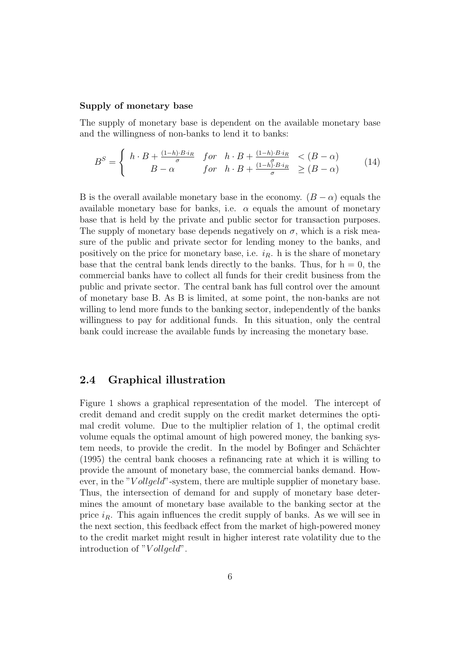#### Supply of monetary base

The supply of monetary base is dependent on the available monetary base and the willingness of non-banks to lend it to banks:

$$
B^{S} = \begin{cases} h \cdot B + \frac{(1-h) \cdot B \cdot i_{R}}{\sigma} & \text{for} \quad h \cdot B + \frac{(1-h) \cdot B \cdot i_{R}}{\sigma} < (B-\alpha) \\ B-\alpha & \text{for} \quad h \cdot B + \frac{(1-h) \cdot B \cdot i_{R}}{\sigma} \geq (B-\alpha) \end{cases} \tag{14}
$$

B is the overall available monetary base in the economy.  $(B - \alpha)$  equals the available monetary base for banks, i.e.  $\alpha$  equals the amount of monetary base that is held by the private and public sector for transaction purposes. The supply of monetary base depends negatively on  $\sigma$ , which is a risk measure of the public and private sector for lending money to the banks, and positively on the price for monetary base, i.e.  $i_R$ . h is the share of monetary base that the central bank lends directly to the banks. Thus, for  $h = 0$ , the commercial banks have to collect all funds for their credit business from the public and private sector. The central bank has full control over the amount of monetary base B. As B is limited, at some point, the non-banks are not willing to lend more funds to the banking sector, independently of the banks willingness to pay for additional funds. In this situation, only the central bank could increase the available funds by increasing the monetary base.

#### 2.4 Graphical illustration

Figure 1 shows a graphical representation of the model. The intercept of credit demand and credit supply on the credit market determines the optimal credit volume. Due to the multiplier relation of 1, the optimal credit volume equals the optimal amount of high powered money, the banking system needs, to provide the credit. In the model by Bofinger and Schächter (1995) the central bank chooses a refinancing rate at which it is willing to provide the amount of monetary base, the commercial banks demand. However, in the "Vollgeld"-system, there are multiple supplier of monetary base. Thus, the intersection of demand for and supply of monetary base determines the amount of monetary base available to the banking sector at the price  $i_R$ . This again influences the credit supply of banks. As we will see in the next section, this feedback effect from the market of high-powered money to the credit market might result in higher interest rate volatility due to the introduction of " $V$  ollgeld".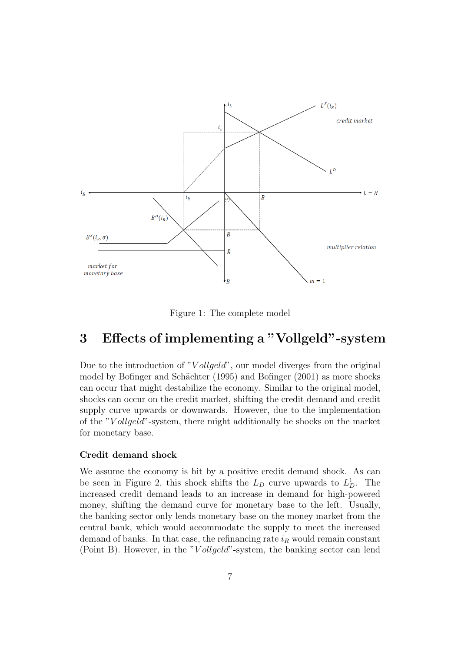

Figure 1: The complete model

## 3 Effects of implementing a "Vollgeld"-system

Due to the introduction of "Vollgeld", our model diverges from the original model by Bofinger and Schächter (1995) and Bofinger (2001) as more shocks can occur that might destabilize the economy. Similar to the original model, shocks can occur on the credit market, shifting the credit demand and credit supply curve upwards or downwards. However, due to the implementation of the "V ollgeld"-system, there might additionally be shocks on the market for monetary base.

#### Credit demand shock

We assume the economy is hit by a positive credit demand shock. As can be seen in Figure 2, this shock shifts the  $L_D$  curve upwards to  $L_D^1$ . The increased credit demand leads to an increase in demand for high-powered money, shifting the demand curve for monetary base to the left. Usually, the banking sector only lends monetary base on the money market from the central bank, which would accommodate the supply to meet the increased demand of banks. In that case, the refinancing rate  $i_R$  would remain constant (Point B). However, in the "Vollgeld"-system, the banking sector can lend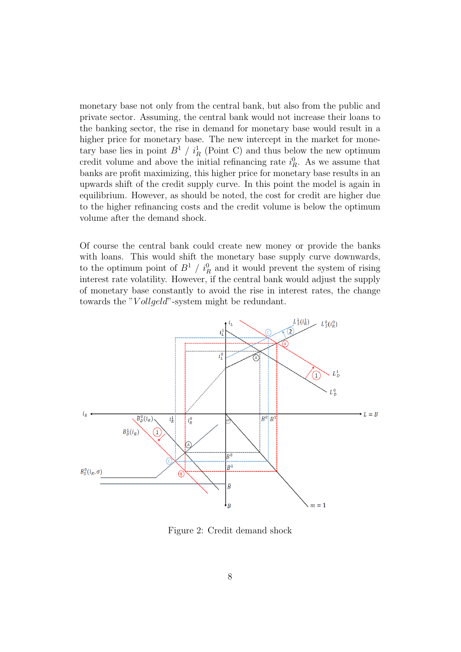monetary base not only from the central bank, but also from the public and private sector. Assuming, the central bank would not increase their loans to the banking sector, the rise in demand for monetary base would result in a higher price for monetary base. The new intercept in the market for monetary base lies in point  $B^1 / i_R^1$  (Point C) and thus below the new optimum credit volume and above the initial refinancing rate  $i_R^0$ . As we assume that banks are profit maximizing, this higher price for monetary base results in an upwards shift of the credit supply curve. In this point the model is again in equilibrium. However, as should be noted, the cost for credit are higher due to the higher refinancing costs and the credit volume is below the optimum volume after the demand shock.

Of course the central bank could create new money or provide the banks with loans. This would shift the monetary base supply curve downwards, to the optimum point of  $B^1 / i_R^0$  and it would prevent the system of rising interest rate volatility. However, if the central bank would adjust the supply of monetary base constantly to avoid the rise in interest rates, the change towards the "Vollgeld"-system might be redundant.



Figure 2: Credit demand shock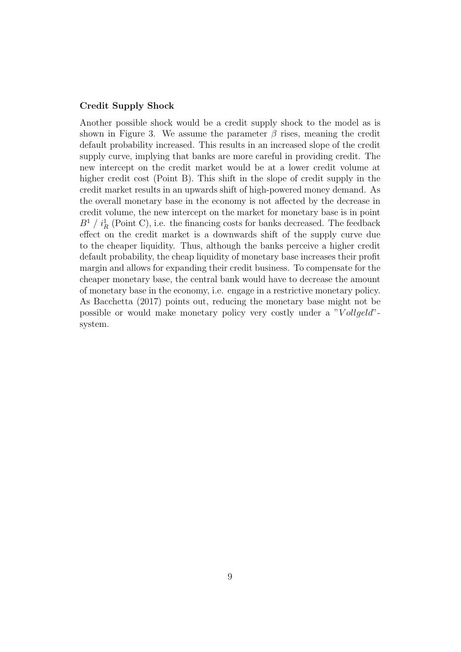#### Credit Supply Shock

Another possible shock would be a credit supply shock to the model as is shown in Figure 3. We assume the parameter  $\beta$  rises, meaning the credit default probability increased. This results in an increased slope of the credit supply curve, implying that banks are more careful in providing credit. The new intercept on the credit market would be at a lower credit volume at higher credit cost (Point B). This shift in the slope of credit supply in the credit market results in an upwards shift of high-powered money demand. As the overall monetary base in the economy is not affected by the decrease in credit volume, the new intercept on the market for monetary base is in point  $B<sup>1</sup> / i<sub>R</sub><sup>1</sup>$  (Point C), i.e. the financing costs for banks decreased. The feedback effect on the credit market is a downwards shift of the supply curve due to the cheaper liquidity. Thus, although the banks perceive a higher credit default probability, the cheap liquidity of monetary base increases their profit margin and allows for expanding their credit business. To compensate for the cheaper monetary base, the central bank would have to decrease the amount of monetary base in the economy, i.e. engage in a restrictive monetary policy. As Bacchetta (2017) points out, reducing the monetary base might not be possible or would make monetary policy very costly under a "Vollgeld"system.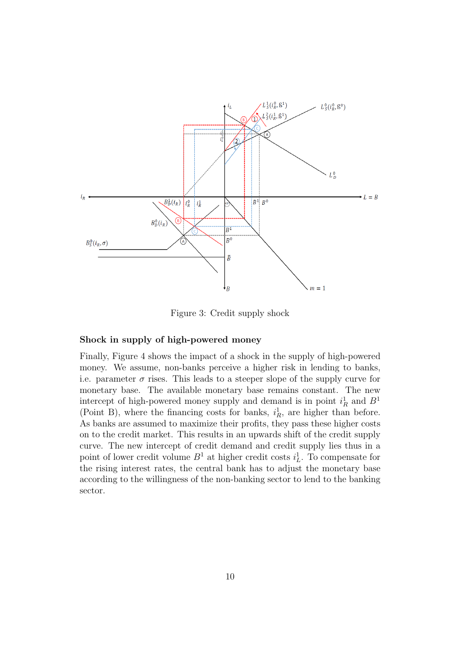

Figure 3: Credit supply shock

#### Shock in supply of high-powered money

Finally, Figure 4 shows the impact of a shock in the supply of high-powered money. We assume, non-banks perceive a higher risk in lending to banks, i.e. parameter  $\sigma$  rises. This leads to a steeper slope of the supply curve for monetary base. The available monetary base remains constant. The new intercept of high-powered money supply and demand is in point  $i_R^1$  and  $B^1$ (Point B), where the financing costs for banks,  $i_R^1$ , are higher than before. As banks are assumed to maximize their profits, they pass these higher costs on to the credit market. This results in an upwards shift of the credit supply curve. The new intercept of credit demand and credit supply lies thus in a point of lower credit volume  $B^1$  at higher credit costs  $i_L^1$ . To compensate for the rising interest rates, the central bank has to adjust the monetary base according to the willingness of the non-banking sector to lend to the banking sector.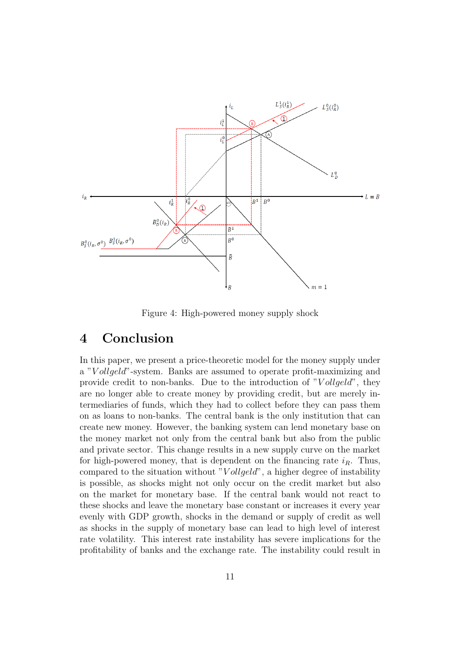

Figure 4: High-powered money supply shock

## 4 Conclusion

In this paper, we present a price-theoretic model for the money supply under a "V ollgeld"-system. Banks are assumed to operate profit-maximizing and provide credit to non-banks. Due to the introduction of " $V$  ollgeld", they are no longer able to create money by providing credit, but are merely intermediaries of funds, which they had to collect before they can pass them on as loans to non-banks. The central bank is the only institution that can create new money. However, the banking system can lend monetary base on the money market not only from the central bank but also from the public and private sector. This change results in a new supply curve on the market for high-powered money, that is dependent on the financing rate  $i_R$ . Thus, compared to the situation without " $V$ *ollgeld*", a higher degree of instability is possible, as shocks might not only occur on the credit market but also on the market for monetary base. If the central bank would not react to these shocks and leave the monetary base constant or increases it every year evenly with GDP growth, shocks in the demand or supply of credit as well as shocks in the supply of monetary base can lead to high level of interest rate volatility. This interest rate instability has severe implications for the profitability of banks and the exchange rate. The instability could result in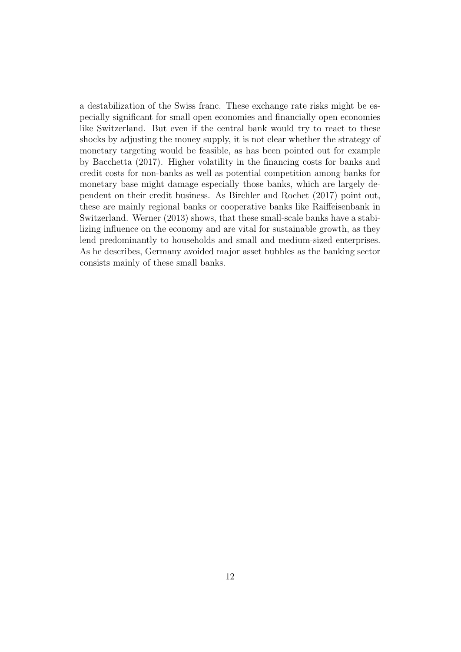a destabilization of the Swiss franc. These exchange rate risks might be especially significant for small open economies and financially open economies like Switzerland. But even if the central bank would try to react to these shocks by adjusting the money supply, it is not clear whether the strategy of monetary targeting would be feasible, as has been pointed out for example by Bacchetta (2017). Higher volatility in the financing costs for banks and credit costs for non-banks as well as potential competition among banks for monetary base might damage especially those banks, which are largely dependent on their credit business. As Birchler and Rochet (2017) point out, these are mainly regional banks or cooperative banks like Raiffeisenbank in Switzerland. Werner (2013) shows, that these small-scale banks have a stabilizing influence on the economy and are vital for sustainable growth, as they lend predominantly to households and small and medium-sized enterprises. As he describes, Germany avoided major asset bubbles as the banking sector consists mainly of these small banks.